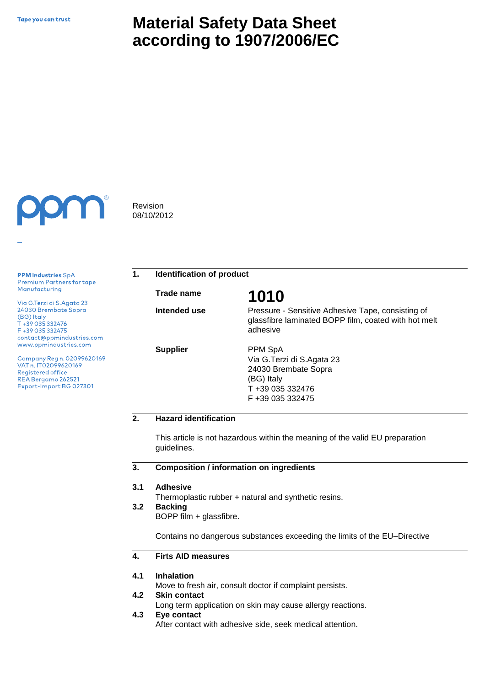# **Material Safety Data Sheet according to 1907/2006/EC**



**PPM Industries SpA** Premium Partners for tape Manufacturing

Via G.Terzi di S.Agata 23 24030 Brembate Sopra (BG) Italy T +39 035 332476 F+39 035 332475 contact@ppmindustries.com www.ppmindustries.com

Company Reg n. 02099620169 VAT n. IT02099620169 Registered office REA Bergamo 262521 Export-Import BG 027301

Revision 08/10/2012

**1. Identification of product**

**Trade name 1010**

**Intended use** 

**Supplier**

Pressure - Sensitive Adhesive Tape, consisting of glassfibre laminated BOPP film, coated with hot melt adhesive

PPM SpA Via G.Terzi di S.Agata 23 24030 Brembate Sopra (BG) Italy T +39 035 332476 F +39 035 332475

## **2. Hazard identification**

This article is not hazardous within the meaning of the valid EU preparation guidelines.

#### **3. Composition / information on ingredients**

#### **3.1 Adhesive**

Thermoplastic rubber + natural and synthetic resins.

#### **3.2 Backing**

BOPP film + glassfibre.

Contains no dangerous substances exceeding the limits of the EU–Directive

#### **4. Firts AID measures**

#### **4.1 Inhalation**

Move to fresh air, consult doctor if complaint persists.

#### **4.2 Skin contact**

Long term application on skin may cause allergy reactions.

**4.3 Eye contact**

After contact with adhesive side, seek medical attention.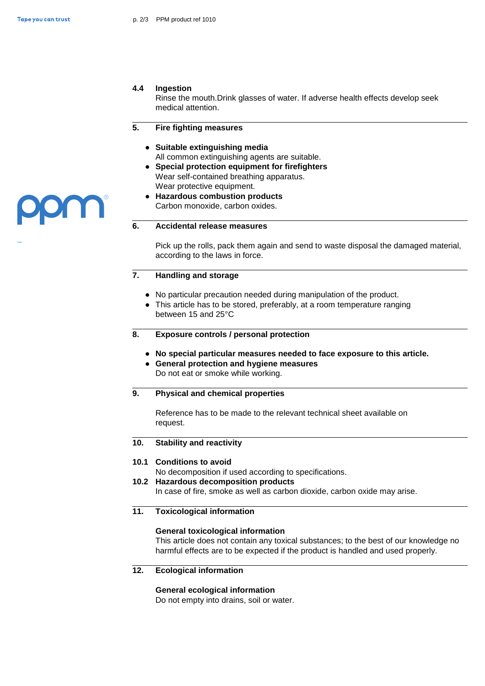UI I

### **4.4 Ingestion**

Rinse the mouth.Drink glasses of water. If adverse health effects develop seek medical attention.

#### **5. Fire fighting measures**

- **● Suitable extinguishing media** All common extinguishing agents are suitable.
- **● Special protection equipment for firefighters**  Wear self-contained breathing apparatus. Wear protective equipment.
- **● Hazardous combustion products** Carbon monoxide, carbon oxides.

### **6. Accidental release measures**

Pick up the rolls, pack them again and send to waste disposal the damaged material, according to the laws in force.

### **7. Handling and storage**

- **●** No particular precaution needed during manipulation of the product.
- **●** This article has to be stored, preferably, at a room temperature ranging between 15 and 25°C
- **8. Exposure controls / personal protection**
	- **● No special particular measures needed to face exposure to this article.**
	- **● General protection and hygiene measures**  Do not eat or smoke while working.

### **9. Physical and chemical properties**

Reference has to be made to the relevant technical sheet available on request.

#### **10. Stability and reactivity**

### **10.1 Conditions to avoid**

No decomposition if used according to specifications.

**10.2 Hazardous decomposition products**

In case of fire, smoke as well as carbon dioxide, carbon oxide may arise.

### **11. Toxicological information**

### **General toxicological information**

This article does not contain any toxical substances; to the best of our knowledge no harmful effects are to be expected if the product is handled and used properly.

**12. Ecological information**

### **General ecological information**

Do not empty into drains, soil or water.